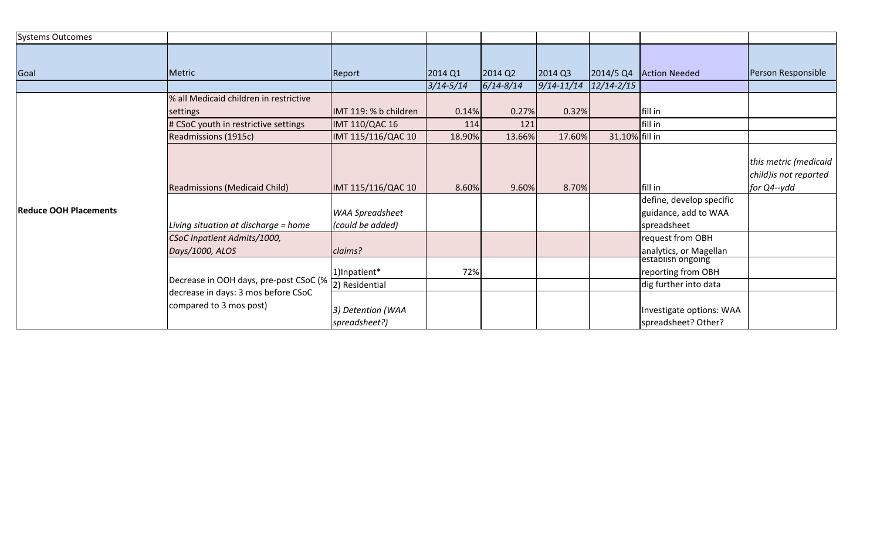| <b>Systems Outcomes</b>      |                                                                               |                        |               |               |                |                |                          |                        |
|------------------------------|-------------------------------------------------------------------------------|------------------------|---------------|---------------|----------------|----------------|--------------------------|------------------------|
|                              |                                                                               |                        |               |               |                |                |                          |                        |
| Goal                         | Metric                                                                        | Report                 | 2014 Q1       | 2014 Q2       | 2014 Q3        | 2014/5 Q4      | <b>Action Needed</b>     | Person Responsible     |
|                              |                                                                               |                        | $3/14 - 5/14$ | $6/14 - 8/14$ | $9/14 - 11/14$ | $12/14 - 2/15$ |                          |                        |
| <b>Reduce OOH Placements</b> | % all Medicaid children in restrictive                                        |                        |               |               |                |                |                          |                        |
|                              | settings                                                                      | IMT 119: % b children  | 0.14%         | 0.27%         | 0.32%          |                | fill in                  |                        |
|                              | # CSoC youth in restrictive settings                                          | <b>IMT 110/QAC 16</b>  | 114           | 121           |                |                | fill in                  |                        |
|                              | Readmissions (1915c)                                                          | IMT 115/116/QAC 10     | 18.90%        | 13.66%        | 17.60%         | 31.10% fill in |                          |                        |
|                              |                                                                               |                        |               |               |                |                |                          |                        |
|                              |                                                                               |                        |               |               |                |                |                          | this metric (medicaid  |
|                              |                                                                               |                        |               |               |                |                |                          | child) is not reported |
|                              | <b>Readmissions (Medicaid Child)</b>                                          | IMT 115/116/QAC 10     | 8.60%         | 9.60%         | 8.70%          |                | fill in                  | for Q4--ydd            |
|                              |                                                                               |                        |               |               |                |                | define, develop specific |                        |
|                              |                                                                               | <b>WAA Spreadsheet</b> |               |               |                |                | guidance, add to WAA     |                        |
|                              | Living situation at discharge = home                                          | (could be added)       |               |               |                |                | spreadsheet              |                        |
|                              | CSoC Inpatient Admits/1000,                                                   |                        |               |               |                |                | request from OBH         |                        |
|                              | Days/1000, ALOS                                                               | claims?                |               |               |                |                | analytics, or Magellan   |                        |
|                              |                                                                               |                        |               |               |                |                | establish ongoing        |                        |
|                              | Decrease in OOH days, pre-post CSoC (%<br>decrease in days: 3 mos before CSoC | 1)Inpatient*           | 72%           |               |                |                | reporting from OBH       |                        |
|                              |                                                                               | 2) Residential         |               |               |                |                | dig further into data    |                        |
|                              | compared to 3 mos post)                                                       | 3) Detention (WAA      |               |               |                |                | Investigate options: WAA |                        |
|                              |                                                                               | spreadsheet?)          |               |               |                |                | spreadsheet? Other?      |                        |